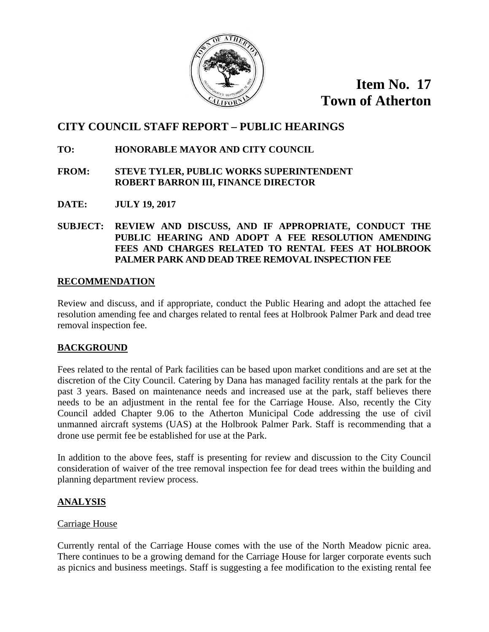

**Item No. 17 Town of Atherton**

# **CITY COUNCIL STAFF REPORT – PUBLIC HEARINGS**

# **TO: HONORABLE MAYOR AND CITY COUNCIL**

### **FROM: STEVE TYLER, PUBLIC WORKS SUPERINTENDENT ROBERT BARRON III, FINANCE DIRECTOR**

**DATE: JULY 19, 2017**

**SUBJECT: REVIEW AND DISCUSS, AND IF APPROPRIATE, CONDUCT THE PUBLIC HEARING AND ADOPT A FEE RESOLUTION AMENDING FEES AND CHARGES RELATED TO RENTAL FEES AT HOLBROOK PALMER PARK AND DEAD TREE REMOVAL INSPECTION FEE**

### **RECOMMENDATION**

Review and discuss, and if appropriate, conduct the Public Hearing and adopt the attached fee resolution amending fee and charges related to rental fees at Holbrook Palmer Park and dead tree removal inspection fee.

# **BACKGROUND**

Fees related to the rental of Park facilities can be based upon market conditions and are set at the discretion of the City Council. Catering by Dana has managed facility rentals at the park for the past 3 years. Based on maintenance needs and increased use at the park, staff believes there needs to be an adjustment in the rental fee for the Carriage House. Also, recently the City Council added Chapter 9.06 to the Atherton Municipal Code addressing the use of civil unmanned aircraft systems (UAS) at the Holbrook Palmer Park. Staff is recommending that a drone use permit fee be established for use at the Park.

In addition to the above fees, staff is presenting for review and discussion to the City Council consideration of waiver of the tree removal inspection fee for dead trees within the building and planning department review process.

# **ANALYSIS**

# Carriage House

Currently rental of the Carriage House comes with the use of the North Meadow picnic area. There continues to be a growing demand for the Carriage House for larger corporate events such as picnics and business meetings. Staff is suggesting a fee modification to the existing rental fee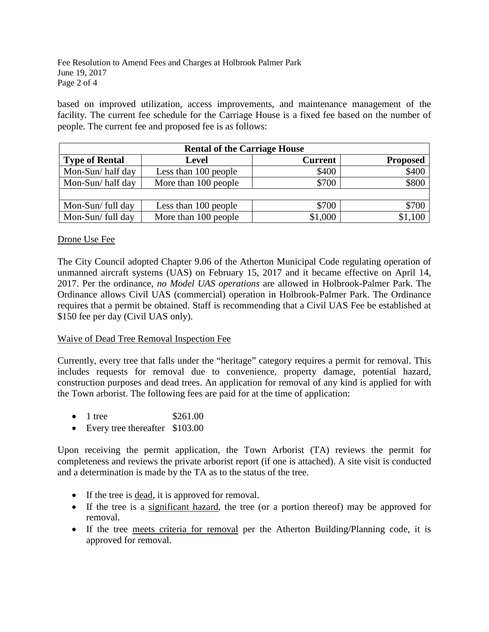Fee Resolution to Amend Fees and Charges at Holbrook Palmer Park June 19, 2017 Page 2 of 4

based on improved utilization, access improvements, and maintenance management of the facility. The current fee schedule for the Carriage House is a fixed fee based on the number of people. The current fee and proposed fee is as follows:

| <b>Rental of the Carriage House</b> |                      |                |                 |  |
|-------------------------------------|----------------------|----------------|-----------------|--|
| <b>Type of Rental</b>               | <b>Level</b>         | <b>Current</b> | <b>Proposed</b> |  |
| Mon-Sun/half day                    | Less than 100 people | \$400          | \$400           |  |
| Mon-Sun/half day                    | More than 100 people | \$700          | \$800           |  |
|                                     |                      |                |                 |  |
| Mon-Sun/full day                    | Less than 100 people | \$700          | \$700           |  |
| Mon-Sun/ full day                   | More than 100 people | \$1,000        | \$1,100         |  |

#### Drone Use Fee

The City Council adopted Chapter 9.06 of the Atherton Municipal Code regulating operation of unmanned aircraft systems (UAS) on February 15, 2017 and it became effective on April 14, 2017. Per the ordinance, *no Model UAS operations* are allowed in Holbrook-Palmer Park. The Ordinance allows Civil UAS (commercial) operation in Holbrook-Palmer Park. The Ordinance requires that a permit be obtained. Staff is recommending that a Civil UAS Fee be established at \$150 fee per day (Civil UAS only).

#### Waive of Dead Tree Removal Inspection Fee

Currently, every tree that falls under the "heritage" category requires a permit for removal. This includes requests for removal due to convenience, property damage, potential hazard, construction purposes and dead trees. An application for removal of any kind is applied for with the Town arborist. The following fees are paid for at the time of application:

- 1 tree \$261.00
- Every tree thereafter \$103.00

Upon receiving the permit application, the Town Arborist (TA) reviews the permit for completeness and reviews the private arborist report (if one is attached). A site visit is conducted and a determination is made by the TA as to the status of the tree.

- If the tree is dead, it is approved for removal.
- If the tree is a significant hazard, the tree (or a portion thereof) may be approved for removal.
- If the tree meets criteria for removal per the Atherton Building/Planning code, it is approved for removal.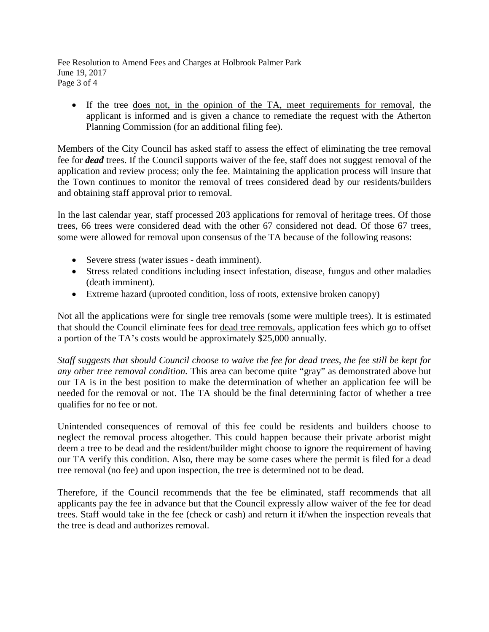Fee Resolution to Amend Fees and Charges at Holbrook Palmer Park June 19, 2017 Page 3 of 4

• If the tree does not, in the opinion of the TA, meet requirements for removal, the applicant is informed and is given a chance to remediate the request with the Atherton Planning Commission (for an additional filing fee).

Members of the City Council has asked staff to assess the effect of eliminating the tree removal fee for *dead* trees. If the Council supports waiver of the fee, staff does not suggest removal of the application and review process; only the fee. Maintaining the application process will insure that the Town continues to monitor the removal of trees considered dead by our residents/builders and obtaining staff approval prior to removal.

In the last calendar year, staff processed 203 applications for removal of heritage trees. Of those trees, 66 trees were considered dead with the other 67 considered not dead. Of those 67 trees, some were allowed for removal upon consensus of the TA because of the following reasons:

- Severe stress (water issues death imminent).
- Stress related conditions including insect infestation, disease, fungus and other maladies (death imminent).
- Extreme hazard (uprooted condition, loss of roots, extensive broken canopy)

Not all the applications were for single tree removals (some were multiple trees). It is estimated that should the Council eliminate fees for dead tree removals, application fees which go to offset a portion of the TA's costs would be approximately \$25,000 annually.

*Staff suggests that should Council choose to waive the fee for dead trees, the fee still be kept for any other tree removal condition.* This area can become quite "gray" as demonstrated above but our TA is in the best position to make the determination of whether an application fee will be needed for the removal or not. The TA should be the final determining factor of whether a tree qualifies for no fee or not.

Unintended consequences of removal of this fee could be residents and builders choose to neglect the removal process altogether. This could happen because their private arborist might deem a tree to be dead and the resident/builder might choose to ignore the requirement of having our TA verify this condition. Also, there may be some cases where the permit is filed for a dead tree removal (no fee) and upon inspection, the tree is determined not to be dead.

Therefore, if the Council recommends that the fee be eliminated, staff recommends that all applicants pay the fee in advance but that the Council expressly allow waiver of the fee for dead trees. Staff would take in the fee (check or cash) and return it if/when the inspection reveals that the tree is dead and authorizes removal.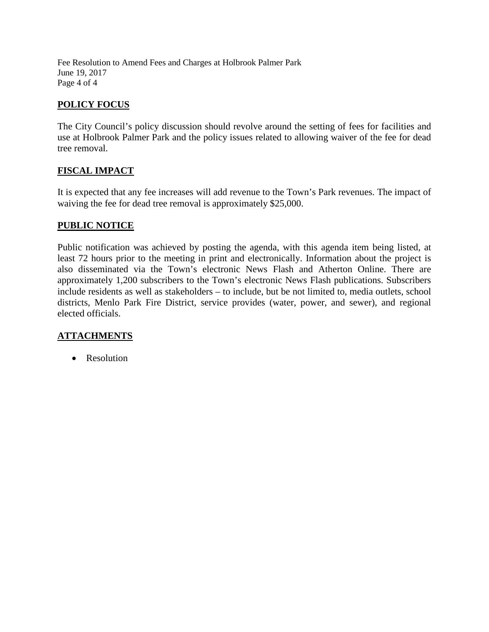Fee Resolution to Amend Fees and Charges at Holbrook Palmer Park June 19, 2017 Page 4 of 4

# **POLICY FOCUS**

The City Council's policy discussion should revolve around the setting of fees for facilities and use at Holbrook Palmer Park and the policy issues related to allowing waiver of the fee for dead tree removal.

# **FISCAL IMPACT**

It is expected that any fee increases will add revenue to the Town's Park revenues. The impact of waiving the fee for dead tree removal is approximately \$25,000.

### **PUBLIC NOTICE**

Public notification was achieved by posting the agenda, with this agenda item being listed, at least 72 hours prior to the meeting in print and electronically. Information about the project is also disseminated via the Town's electronic News Flash and Atherton Online. There are approximately 1,200 subscribers to the Town's electronic News Flash publications. Subscribers include residents as well as stakeholders – to include, but be not limited to, media outlets, school districts, Menlo Park Fire District, service provides (water, power, and sewer), and regional elected officials.

# **ATTACHMENTS**

• Resolution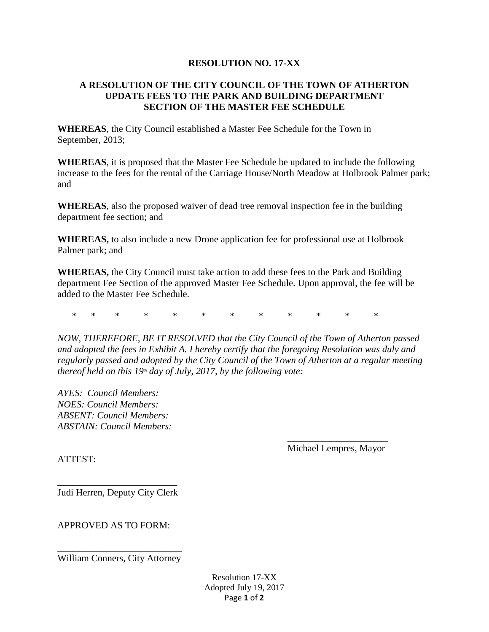### **RESOLUTION NO. 17-XX**

### **A RESOLUTION OF THE CITY COUNCIL OF THE TOWN OF ATHERTON UPDATE FEES TO THE PARK AND BUILDING DEPARTMENT SECTION OF THE MASTER FEE SCHEDULE**

**WHEREAS**, the City Council established a Master Fee Schedule for the Town in September, 2013;

**WHEREAS**, it is proposed that the Master Fee Schedule be updated to include the following increase to the fees for the rental of the Carriage House/North Meadow at Holbrook Palmer park; and

**WHEREAS**, also the proposed waiver of dead tree removal inspection fee in the building department fee section; and

**WHEREAS,** to also include a new Drone application fee for professional use at Holbrook Palmer park; and

**WHEREAS,** the City Council must take action to add these fees to the Park and Building department Fee Section of the approved Master Fee Schedule. Upon approval, the fee will be added to the Master Fee Schedule.

\* \* \* \* \* \* \* \* \* \* \* \*

*NOW, THEREFORE, BE IT RESOLVED that the City Council of the Town of Atherton passed and adopted the fees in Exhibit A. I hereby certify that the foregoing Resolution was duly and regularly passed and adopted by the City Council of the Town of Atherton at a regular meeting thereof held on this 19<sup>th</sup> day of July, 2017, by the following vote:* 

*AYES: Council Members: NOES: Council Members: ABSENT: Council Members: ABSTAIN: Council Members:*

ATTEST:

\_\_\_\_\_\_\_\_\_\_\_\_\_\_\_\_\_\_\_\_\_ Michael Lempres, Mayor

\_\_\_\_\_\_\_\_\_\_\_\_\_\_\_\_\_\_\_\_\_\_\_\_\_ Judi Herren, Deputy City Clerk

APPROVED AS TO FORM:

\_\_\_\_\_\_\_\_\_\_\_\_\_\_\_\_\_\_\_\_\_\_\_\_\_\_ William Conners, City Attorney